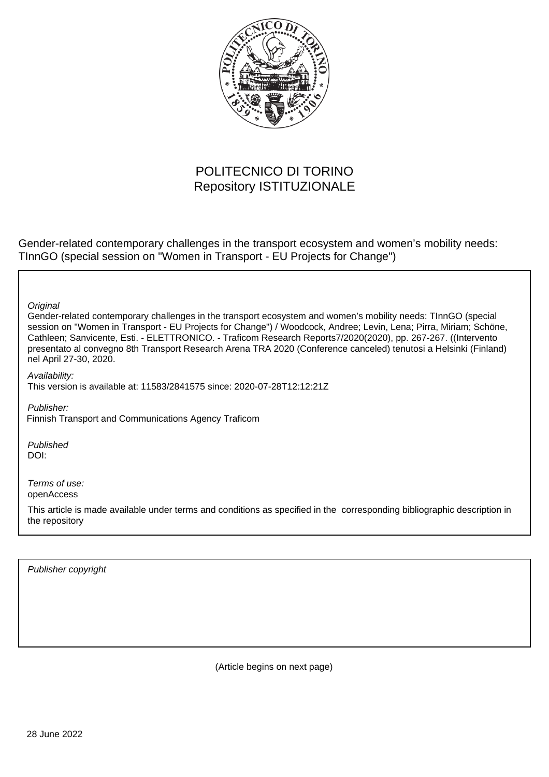

## POLITECNICO DI TORINO Repository ISTITUZIONALE

Gender-related contemporary challenges in the transport ecosystem and women's mobility needs: TInnGO (special session on "Women in Transport - EU Projects for Change")

**Original** 

Gender-related contemporary challenges in the transport ecosystem and women's mobility needs: TInnGO (special session on "Women in Transport - EU Projects for Change") / Woodcock, Andree; Levin, Lena; Pirra, Miriam; Schöne, Cathleen; Sanvicente, Esti. - ELETTRONICO. - Traficom Research Reports7/2020(2020), pp. 267-267. ((Intervento presentato al convegno 8th Transport Research Arena TRA 2020 (Conference canceled) tenutosi a Helsinki (Finland) nel April 27-30, 2020.

Availability: This version is available at: 11583/2841575 since: 2020-07-28T12:12:21Z

Publisher: Finnish Transport and Communications Agency Traficom

Published DOI:

Terms of use: openAccess

This article is made available under terms and conditions as specified in the corresponding bibliographic description in the repository

Publisher copyright

(Article begins on next page)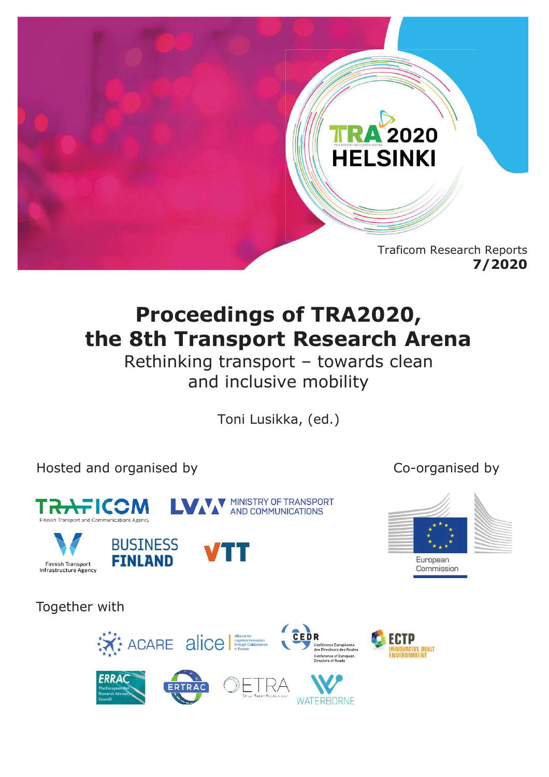

# **Proceedings of TRA2020, the 8th Transport Research Arena**

Rethinking transport – towards clean and inclusive mobility

Toni Lusikka, (ed.)

Hosted and organised by Co-organised by









European Commission

Together with



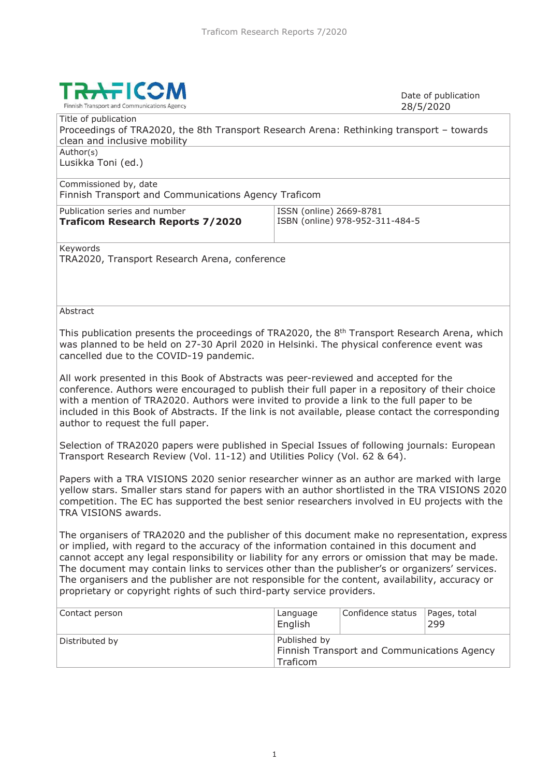

Date of publication 28/5/2020

Title of publication Proceedings of TRA2020, the 8th Transport Research Arena: Rethinking transport – towards clean and inclusive mobility Author(s) Lusikka Toni (ed.)

Commissioned by, date Finnish Transport and Communications Agency Traficom

Publication series and number **Traficom Research Reports 7/2020**

ISSN (online) 2669-8781 ISBN (online) 978-952-311-484-5

Keywords

TRA2020, Transport Research Arena, conference

#### **Abstract**

This publication presents the proceedings of TRA2020, the 8<sup>th</sup> Transport Research Arena, which was planned to be held on 27-30 April 2020 in Helsinki. The physical conference event was cancelled due to the COVID-19 pandemic.

All work presented in this Book of Abstracts was peer-reviewed and accepted for the conference. Authors were encouraged to publish their full paper in a repository of their choice with a mention of TRA2020. Authors were invited to provide a link to the full paper to be included in this Book of Abstracts. If the link is not available, please contact the corresponding author to request the full paper.

Selection of TRA2020 papers were published in Special Issues of following journals: European Transport Research Review (Vol. 11-12) and Utilities Policy (Vol. 62 & 64).

Papers with a TRA VISIONS 2020 senior researcher winner as an author are marked with large yellow stars. Smaller stars stand for papers with an author shortlisted in the TRA VISIONS 2020 competition. The EC has supported the best senior researchers involved in EU projects with the TRA VISIONS awards.

The organisers of TRA2020 and the publisher of this document make no representation, express or implied, with regard to the accuracy of the information contained in this document and cannot accept any legal responsibility or liability for any errors or omission that may be made. The document may contain links to services other than the publisher's or organizers' services. The organisers and the publisher are not responsible for the content, availability, accuracy or proprietary or copyright rights of such third-party service providers.

| Contact person | Language<br>English                                                            | Confidence status | Pages, total<br>299 |
|----------------|--------------------------------------------------------------------------------|-------------------|---------------------|
| Distributed by | Published by<br><b>Finnish Transport and Communications Agency</b><br>Traficom |                   |                     |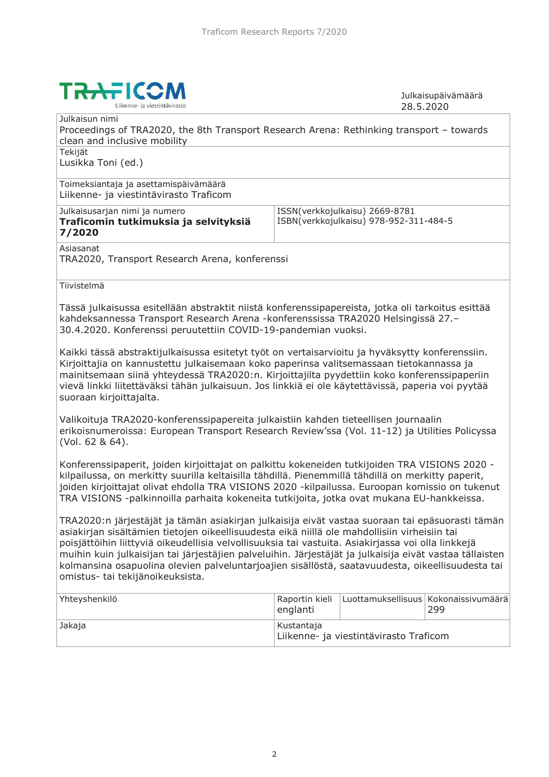

Julkaisupäivämäärä 28.5.2020

| Julkaisun nimi                                                                                          |                |                                        |                   |
|---------------------------------------------------------------------------------------------------------|----------------|----------------------------------------|-------------------|
| Proceedings of TRA2020, the 8th Transport Research Arena: Rethinking transport - towards                |                |                                        |                   |
| clean and inclusive mobility                                                                            |                |                                        |                   |
| Tekijät                                                                                                 |                |                                        |                   |
| Lusikka Toni (ed.)                                                                                      |                |                                        |                   |
|                                                                                                         |                |                                        |                   |
| Toimeksiantaja ja asettamispäivämäärä                                                                   |                |                                        |                   |
| Liikenne- ja viestintävirasto Traficom                                                                  |                |                                        |                   |
|                                                                                                         |                |                                        |                   |
| Julkaisusarjan nimi ja numero                                                                           |                | ISSN(verkkojulkaisu) 2669-8781         |                   |
| Traficomin tutkimuksia ja selvityksiä                                                                   |                | ISBN(verkkojulkaisu) 978-952-311-484-5 |                   |
| 7/2020                                                                                                  |                |                                        |                   |
| Asiasanat                                                                                               |                |                                        |                   |
| TRA2020, Transport Research Arena, konferenssi                                                          |                |                                        |                   |
|                                                                                                         |                |                                        |                   |
| Tiivistelmä                                                                                             |                |                                        |                   |
|                                                                                                         |                |                                        |                   |
| Tässä julkaisussa esitellään abstraktit niistä konferenssipapereista, jotka oli tarkoitus esittää       |                |                                        |                   |
| kahdeksannessa Transport Research Arena -konferenssissa TRA2020 Helsingissä 27.-                        |                |                                        |                   |
|                                                                                                         |                |                                        |                   |
| 30.4.2020. Konferenssi peruutettiin COVID-19-pandemian vuoksi.                                          |                |                                        |                   |
|                                                                                                         |                |                                        |                   |
| Kaikki tässä abstraktijulkaisussa esitetyt työt on vertaisarvioitu ja hyväksytty konferenssiin.         |                |                                        |                   |
| Kirjoittajia on kannustettu julkaisemaan koko paperinsa valitsemassaan tietokannassa ja                 |                |                                        |                   |
| mainitsemaan siinä yhteydessä TRA2020:n. Kirjoittajilta pyydettiin koko konferenssipaperiin             |                |                                        |                   |
| vievä linkki liitettäväksi tähän julkaisuun. Jos linkkiä ei ole käytettävissä, paperia voi pyytää       |                |                                        |                   |
| suoraan kirjoittajalta.                                                                                 |                |                                        |                   |
|                                                                                                         |                |                                        |                   |
| Valikoituja TRA2020-konferenssipapereita julkaistiin kahden tieteellisen journaalin                     |                |                                        |                   |
| erikoisnumeroissa: European Transport Research Review'ssa (Vol. 11-12) ja Utilities Policyssa           |                |                                        |                   |
| (Vol. 62 & 64).                                                                                         |                |                                        |                   |
|                                                                                                         |                |                                        |                   |
| Konferenssipaperit, joiden kirjoittajat on palkittu kokeneiden tutkijoiden TRA VISIONS 2020 -           |                |                                        |                   |
| kilpailussa, on merkitty suurilla keltaisilla tähdillä. Pienemmillä tähdillä on merkitty paperit,       |                |                                        |                   |
| joiden kirjoittajat olivat ehdolla TRA VISIONS 2020 -kilpailussa. Euroopan komissio on tukenut          |                |                                        |                   |
| TRA VISIONS -palkinnoilla parhaita kokeneita tutkijoita, jotka ovat mukana EU-hankkeissa.               |                |                                        |                   |
|                                                                                                         |                |                                        |                   |
| TRA2020:n järjestäjät ja tämän asiakirjan julkaisija eivät vastaa suoraan tai epäsuorasti tämän         |                |                                        |                   |
| asiakirjan sisältämien tietojen oikeellisuudesta eikä niillä ole mahdollisiin virheisiin tai            |                |                                        |                   |
| poisjättöihin liittyviä oikeudellisia velvollisuuksia tai vastuita. Asiakirjassa voi olla linkkejä      |                |                                        |                   |
| muihin kuin julkaisijan tai järjestäjien palveluihin. Järjestäjät ja julkaisija eivät vastaa tällaisten |                |                                        |                   |
| kolmansina osapuolina olevien palveluntarjoajien sisällöstä, saatavuudesta, oikeellisuudesta tai        |                |                                        |                   |
| omistus- tai tekijänoikeuksista.                                                                        |                |                                        |                   |
|                                                                                                         |                |                                        |                   |
| Yhteyshenkilö                                                                                           | Raportin kieli | Luottamuksellisuus                     | Kokonaissivumäärä |
|                                                                                                         | englanti       |                                        | 299               |
|                                                                                                         |                |                                        |                   |
| Jakaja                                                                                                  | Kustantaja     |                                        |                   |
|                                                                                                         |                | Liikenne- ja viestintävirasto Traficom |                   |
|                                                                                                         |                |                                        |                   |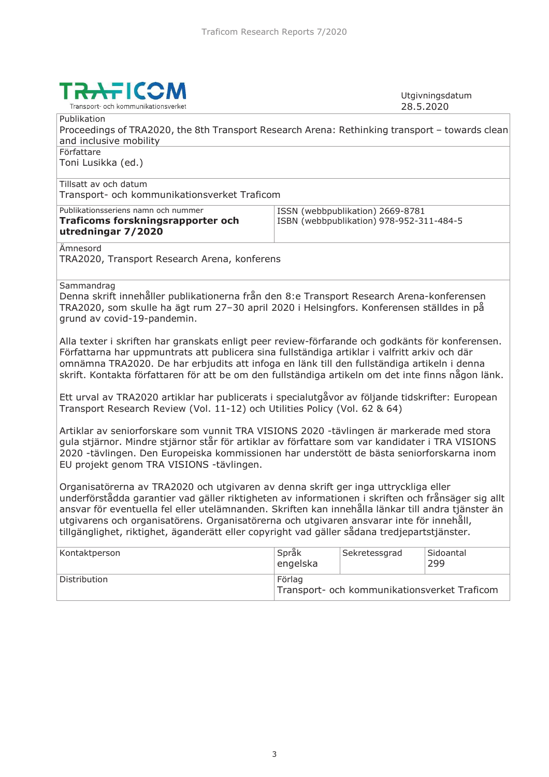

Utgivningsdatum 28.5.2020

**Publikation** Proceedings of TRA2020, the 8th Transport Research Arena: Rethinking transport – towards clean and inclusive mobility Författare Toni Lusikka (ed.) Tillsatt av och datum Transport- och kommunikationsverket Traficom Publikationsseriens namn och nummer ISSN (webbpublikation) 2669-8781

| Traficoms forskningsrapporter och | ISBN (webbpublikation) 978-952-311-484-5 |
|-----------------------------------|------------------------------------------|
| utredningar 7/2020                |                                          |

Ämnesord

TRA2020, Transport Research Arena, konferens

Sammandrag

Denna skrift innehåller publikationerna från den 8:e Transport Research Arena-konferensen TRA2020, som skulle ha ägt rum 27–30 april 2020 i Helsingfors. Konferensen ställdes in på grund av covid-19-pandemin.

Alla texter i skriften har granskats enligt peer review-förfarande och godkänts för konferensen. Författarna har uppmuntrats att publicera sina fullständiga artiklar i valfritt arkiv och där omnämna TRA2020. De har erbjudits att infoga en länk till den fullständiga artikeln i denna skrift. Kontakta författaren för att be om den fullständiga artikeln om det inte finns någon länk.

Ett urval av TRA2020 artiklar har publicerats i specialutgåvor av följande tidskrifter: European Transport Research Review (Vol. 11-12) och Utilities Policy (Vol. 62 & 64)

Artiklar av seniorforskare som vunnit TRA VISIONS 2020 -tävlingen är markerade med stora gula stjärnor. Mindre stjärnor står för artiklar av författare som var kandidater i TRA VISIONS 2020 -tävlingen. Den Europeiska kommissionen har understött de bästa seniorforskarna inom EU projekt genom TRA VISIONS -tävlingen.

Organisatörerna av TRA2020 och utgivaren av denna skrift ger inga uttryckliga eller underförstådda garantier vad gäller riktigheten av informationen i skriften och frånsäger sig allt ansvar för eventuella fel eller utelämnanden. Skriften kan innehålla länkar till andra tjänster än utgivarens och organisatörens. Organisatörerna och utgivaren ansvarar inte för innehåll, tillgänglighet, riktighet, äganderätt eller copyright vad gäller sådana tredjepartstjänster.

| Kontaktperson | <b>Språk</b><br>engelska                               | Sekretessgrad | Sidoantal<br>299 |
|---------------|--------------------------------------------------------|---------------|------------------|
| Distribution  | Förlag<br>Transport- och kommunikationsverket Traficom |               |                  |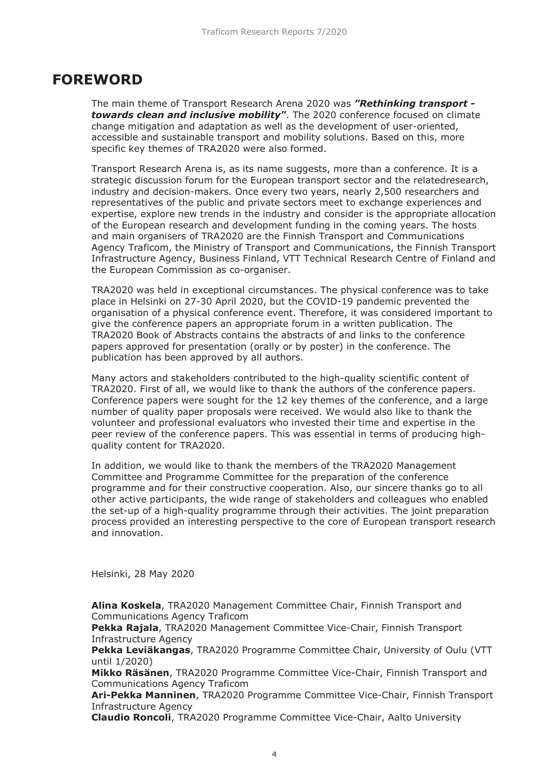#### **FOREWORD**

The main theme of Transport Research Arena 2020 was *"Rethinking transport towards clean and inclusive mobility"*. The 2020 conference focused on climate change mitigation and adaptation as well as the development of user-oriented, accessible and sustainable transport and mobility solutions. Based on this, more specific key themes of TRA2020 were also formed.

Transport Research Arena is, as its name suggests, more than a conference. It is a strategic discussion forum for the European transport sector and the relatedresearch, industry and decision-makers. Once every two years, nearly 2,500 researchers and representatives of the public and private sectors meet to exchange experiences and expertise, explore new trends in the industry and consider is the appropriate allocation of the European research and development funding in the coming years. The hosts and main organisers of TRA2020 are the Finnish Transport and Communications Agency Traficom, the Ministry of Transport and Communications, the Finnish Transport Infrastructure Agency, Business Finland, VTT Technical Research Centre of Finland and the European Commission as co-organiser.

TRA2020 was held in exceptional circumstances. The physical conference was to take place in Helsinki on 27-30 April 2020, but the COVID-19 pandemic prevented the organisation of a physical conference event. Therefore, it was considered important to give the conference papers an appropriate forum in a written publication. The TRA2020 Book of Abstracts contains the abstracts of and links to the conference papers approved for presentation (orally or by poster) in the conference. The publication has been approved by all authors.

Many actors and stakeholders contributed to the high-quality scientific content of TRA2020. First of all, we would like to thank the authors of the conference papers. Conference papers were sought for the 12 key themes of the conference, and a large number of quality paper proposals were received. We would also like to thank the volunteer and professional evaluators who invested their time and expertise in the peer review of the conference papers. This was essential in terms of producing highquality content for TRA2020.

In addition, we would like to thank the members of the TRA2020 Management Committee and Programme Committee for the preparation of the conference programme and for their constructive cooperation. Also, our sincere thanks go to all other active participants, the wide range of stakeholders and colleagues who enabled the set-up of a high-quality programme through their activities. The joint preparation process provided an interesting perspective to the core of European transport research and innovation.

Helsinki, 28 May 2020

**Alina Koskela**, TRA2020 Management Committee Chair, Finnish Transport and Communications Agency Traficom

**Pekka Rajala**, TRA2020 Management Committee Vice-Chair, Finnish Transport Infrastructure Agency

**Pekka Leviäkangas**, TRA2020 Programme Committee Chair, University of Oulu (VTT until 1/2020)

**Mikko Räsänen**, TRA2020 Programme Committee Vice-Chair, Finnish Transport and Communications Agency Traficom

**Ari-Pekka Manninen**, TRA2020 Programme Committee Vice-Chair, Finnish Transport Infrastructure Agency

**Claudio Roncoli**, TRA2020 Programme Committee Vice-Chair, Aalto University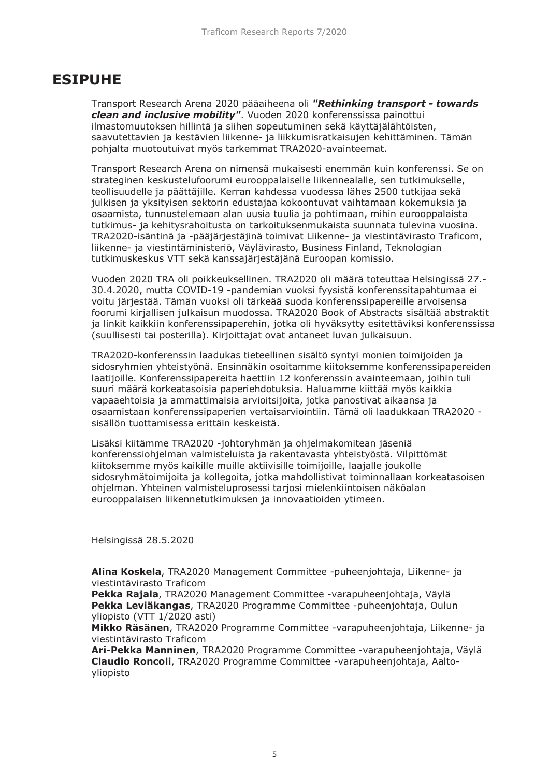## **ESIPUHE**

Transport Research Arena 2020 pääaiheena oli *"Rethinking transport - towards clean and inclusive mobility"*. Vuoden 2020 konferenssissa painottui ilmastomuutoksen hillintä ja siihen sopeutuminen sekä käyttäjälähtöisten, saavutettavien ja kestävien liikenne- ja liikkumisratkaisujen kehittäminen. Tämän pohjalta muotoutuivat myös tarkemmat TRA2020-avainteemat.

Transport Research Arena on nimensä mukaisesti enemmän kuin konferenssi. Se on strateginen keskustelufoorumi eurooppalaiselle liikennealalle, sen tutkimukselle, teollisuudelle ja päättäjille. Kerran kahdessa vuodessa lähes 2500 tutkijaa sekä julkisen ja yksityisen sektorin edustajaa kokoontuvat vaihtamaan kokemuksia ja osaamista, tunnustelemaan alan uusia tuulia ja pohtimaan, mihin eurooppalaista tutkimus- ja kehitysrahoitusta on tarkoituksenmukaista suunnata tulevina vuosina. TRA2020-isäntinä ja -pääjärjestäjinä toimivat Liikenne- ja viestintävirasto Traficom, liikenne- ja viestintäministeriö, Väylävirasto, Business Finland, Teknologian tutkimuskeskus VTT sekä kanssajärjestäjänä Euroopan komissio.

Vuoden 2020 TRA oli poikkeuksellinen. TRA2020 oli määrä toteuttaa Helsingissä 27.- 30.4.2020, mutta COVID-19 -pandemian vuoksi fyysistä konferenssitapahtumaa ei voitu järjestää. Tämän vuoksi oli tärkeää suoda konferenssipapereille arvoisensa foorumi kirjallisen julkaisun muodossa. TRA2020 Book of Abstracts sisältää abstraktit ja linkit kaikkiin konferenssipaperehin, jotka oli hyväksytty esitettäviksi konferenssissa (suullisesti tai posterilla). Kirjoittajat ovat antaneet luvan julkaisuun.

TRA2020-konferenssin laadukas tieteellinen sisältö syntyi monien toimijoiden ja sidosryhmien yhteistyönä. Ensinnäkin osoitamme kiitoksemme konferenssipapereiden laatijoille. Konferenssipapereita haettiin 12 konferenssin avainteemaan, joihin tuli suuri määrä korkeatasoisia paperiehdotuksia. Haluamme kiittää myös kaikkia vapaaehtoisia ja ammattimaisia arvioitsijoita, jotka panostivat aikaansa ja osaamistaan konferenssipaperien vertaisarviointiin. Tämä oli laadukkaan TRA2020 sisällön tuottamisessa erittäin keskeistä.

Lisäksi kiitämme TRA2020 -johtoryhmän ja ohjelmakomitean jäseniä konferenssiohjelman valmisteluista ja rakentavasta yhteistyöstä. Vilpittömät kiitoksemme myös kaikille muille aktiivisille toimijoille, laajalle joukolle sidosryhmätoimijoita ja kollegoita, jotka mahdollistivat toiminnallaan korkeatasoisen ohjelman. Yhteinen valmisteluprosessi tarjosi mielenkiintoisen näköalan eurooppalaisen liikennetutkimuksen ja innovaatioiden ytimeen.

Helsingissä 28.5.2020

**Alina Koskela**, TRA2020 Management Committee -puheenjohtaja, Liikenne- ja viestintävirasto Traficom

**Pekka Rajala**, TRA2020 Management Committee -varapuheenjohtaja, Väylä **Pekka Leviäkangas**, TRA2020 Programme Committee -puheenjohtaja, Oulun yliopisto (VTT 1/2020 asti)

**Mikko Räsänen**, TRA2020 Programme Committee -varapuheenjohtaja, Liikenne- ja viestintävirasto Traficom

**Ari-Pekka Manninen**, TRA2020 Programme Committee -varapuheenjohtaja, Väylä **Claudio Roncoli**, TRA2020 Programme Committee -varapuheenjohtaja, Aaltoyliopisto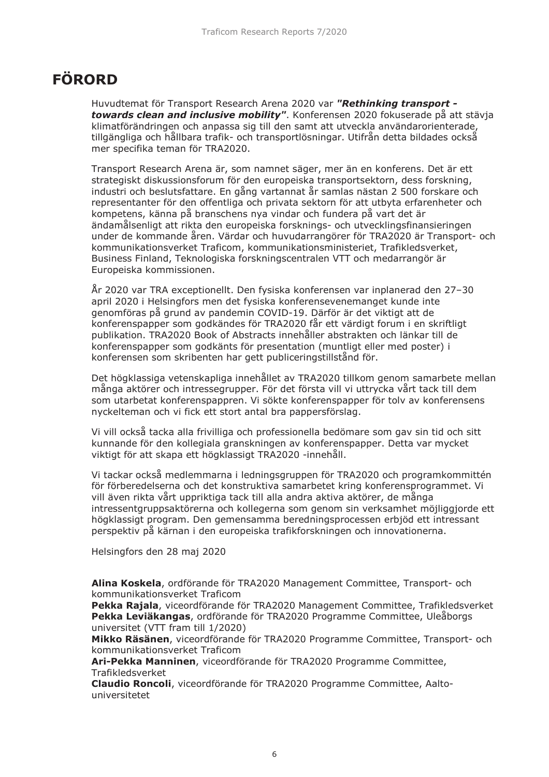## **FÖRORD**

Huvudtemat för Transport Research Arena 2020 var *"Rethinking transport towards clean and inclusive mobility"*. Konferensen 2020 fokuserade på att stävja klimatförändringen och anpassa sig till den samt att utveckla användarorienterade, tillgängliga och hållbara trafik- och transportlösningar. Utifrån detta bildades också mer specifika teman för TRA2020.

Transport Research Arena är, som namnet säger, mer än en konferens. Det är ett strategiskt diskussionsforum för den europeiska transportsektorn, dess forskning, industri och beslutsfattare. En gång vartannat år samlas nästan 2 500 forskare och representanter för den offentliga och privata sektorn för att utbyta erfarenheter och kompetens, känna på branschens nya vindar och fundera på vart det är ändamålsenligt att rikta den europeiska forsknings- och utvecklingsfinansieringen under de kommande åren. Värdar och huvudarrangörer för TRA2020 är Transport- och kommunikationsverket Traficom, kommunikationsministeriet, Trafikledsverket, Business Finland, Teknologiska forskningscentralen VTT och medarrangör är Europeiska kommissionen.

År 2020 var TRA exceptionellt. Den fysiska konferensen var inplanerad den 27–30 april 2020 i Helsingfors men det fysiska konferensevenemanget kunde inte genomföras på grund av pandemin COVID-19. Därför är det viktigt att de konferenspapper som godkändes för TRA2020 får ett värdigt forum i en skriftligt publikation. TRA2020 Book of Abstracts innehåller abstrakten och länkar till de konferenspapper som godkänts för presentation (muntligt eller med poster) i konferensen som skribenten har gett publiceringstillstånd för.

Det högklassiga vetenskapliga innehållet av TRA2020 tillkom genom samarbete mellan många aktörer och intressegrupper. För det första vill vi uttrycka vårt tack till dem som utarbetat konferenspappren. Vi sökte konferenspapper för tolv av konferensens nyckelteman och vi fick ett stort antal bra pappersförslag.

Vi vill också tacka alla frivilliga och professionella bedömare som gav sin tid och sitt kunnande för den kollegiala granskningen av konferenspapper. Detta var mycket viktigt för att skapa ett högklassigt TRA2020 -innehåll.

Vi tackar också medlemmarna i ledningsgruppen för TRA2020 och programkommittén för förberedelserna och det konstruktiva samarbetet kring konferensprogrammet. Vi vill även rikta vårt uppriktiga tack till alla andra aktiva aktörer, de många intressentgruppsaktörerna och kollegerna som genom sin verksamhet möjliggjorde ett högklassigt program. Den gemensamma beredningsprocessen erbjöd ett intressant perspektiv på kärnan i den europeiska trafikforskningen och innovationerna.

Helsingfors den 28 maj 2020

**Alina Koskela**, ordförande för TRA2020 Management Committee, Transport- och kommunikationsverket Traficom

**Pekka Rajala**, viceordförande för TRA2020 Management Committee, Trafikledsverket **Pekka Leviäkangas**, ordförande för TRA2020 Programme Committee, Uleåborgs universitet (VTT fram till 1/2020)

**Mikko Räsänen**, viceordförande för TRA2020 Programme Committee, Transport- och kommunikationsverket Traficom

**Ari-Pekka Manninen**, viceordförande för TRA2020 Programme Committee, Trafikledsverket

**Claudio Roncoli**, viceordförande för TRA2020 Programme Committee, Aaltouniversitetet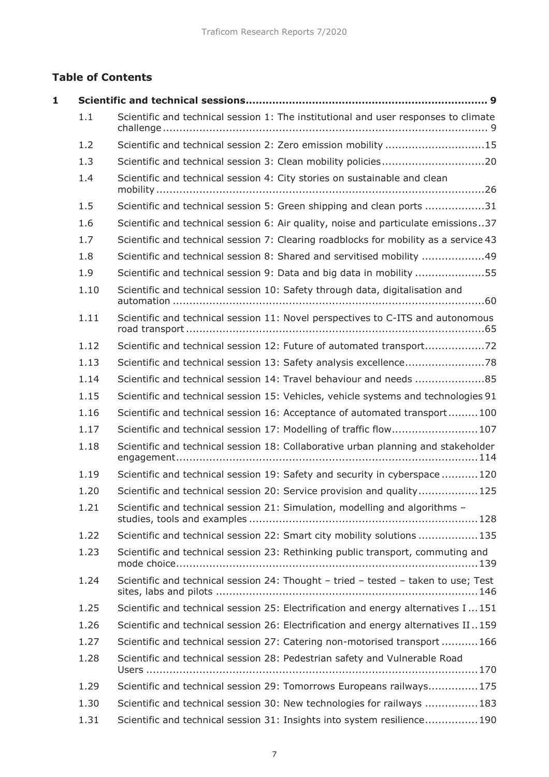#### **Table of Contents**

| 1 |      |                                                                                      |
|---|------|--------------------------------------------------------------------------------------|
|   | 1.1  | Scientific and technical session 1: The institutional and user responses to climate  |
|   | 1.2  | Scientific and technical session 2: Zero emission mobility 15                        |
|   | 1.3  | Scientific and technical session 3: Clean mobility policies20                        |
|   | 1.4  | Scientific and technical session 4: City stories on sustainable and clean            |
|   | 1.5  | Scientific and technical session 5: Green shipping and clean ports 31                |
|   | 1.6  | Scientific and technical session 6: Air quality, noise and particulate emissions37   |
|   | 1.7  | Scientific and technical session 7: Clearing roadblocks for mobility as a service 43 |
|   | 1.8  | Scientific and technical session 8: Shared and servitised mobility 49                |
|   | 1.9  | Scientific and technical session 9: Data and big data in mobility 55                 |
|   | 1.10 | Scientific and technical session 10: Safety through data, digitalisation and         |
|   | 1.11 | Scientific and technical session 11: Novel perspectives to C-ITS and autonomous      |
|   | 1.12 | Scientific and technical session 12: Future of automated transport                   |
|   | 1.13 |                                                                                      |
|   | 1.14 | Scientific and technical session 14: Travel behaviour and needs 85                   |
|   | 1.15 | Scientific and technical session 15: Vehicles, vehicle systems and technologies 91   |
|   | 1.16 | Scientific and technical session 16: Acceptance of automated transport100            |
|   | 1.17 | Scientific and technical session 17: Modelling of traffic flow107                    |
|   | 1.18 | Scientific and technical session 18: Collaborative urban planning and stakeholder    |
|   | 1.19 | Scientific and technical session 19: Safety and security in cyberspace120            |
|   | 1.20 | Scientific and technical session 20: Service provision and quality125                |
|   | 1.21 | Scientific and technical session 21: Simulation, modelling and algorithms -          |
|   | 1.22 | Scientific and technical session 22: Smart city mobility solutions  135              |
|   | 1.23 | Scientific and technical session 23: Rethinking public transport, commuting and      |
|   | 1.24 | Scientific and technical session 24: Thought - tried - tested - taken to use; Test   |
|   | 1.25 | Scientific and technical session 25: Electrification and energy alternatives I151    |
|   | 1.26 | Scientific and technical session 26: Electrification and energy alternatives II159   |
|   | 1.27 | Scientific and technical session 27: Catering non-motorised transport 166            |
|   | 1.28 | Scientific and technical session 28: Pedestrian safety and Vulnerable Road           |
|   | 1.29 | Scientific and technical session 29: Tomorrows Europeans railways175                 |
|   | 1.30 | Scientific and technical session 30: New technologies for railways 183               |
|   | 1.31 | Scientific and technical session 31: Insights into system resilience190              |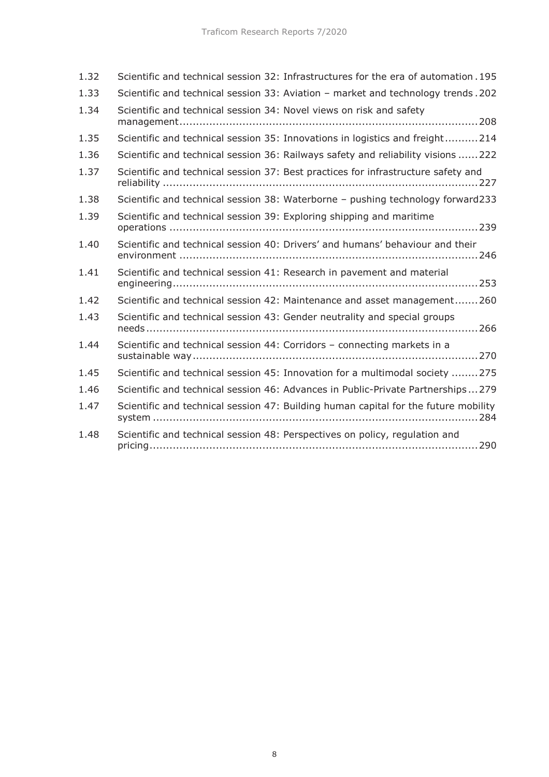| 1.32 | Scientific and technical session 32: Infrastructures for the era of automation. 195 |
|------|-------------------------------------------------------------------------------------|
| 1.33 | Scientific and technical session 33: Aviation - market and technology trends. 202   |
| 1.34 | Scientific and technical session 34: Novel views on risk and safety                 |
| 1.35 | Scientific and technical session 35: Innovations in logistics and freight214        |
| 1.36 | Scientific and technical session 36: Railways safety and reliability visions  222   |
| 1.37 | Scientific and technical session 37: Best practices for infrastructure safety and   |
| 1.38 | Scientific and technical session 38: Waterborne - pushing technology forward233     |
| 1.39 | Scientific and technical session 39: Exploring shipping and maritime                |
| 1.40 | Scientific and technical session 40: Drivers' and humans' behaviour and their       |
| 1.41 | Scientific and technical session 41: Research in pavement and material              |
| 1.42 | Scientific and technical session 42: Maintenance and asset management260            |
| 1.43 | Scientific and technical session 43: Gender neutrality and special groups           |
| 1.44 | Scientific and technical session 44: Corridors - connecting markets in a            |
| 1.45 | Scientific and technical session 45: Innovation for a multimodal society 275        |
| 1.46 | Scientific and technical session 46: Advances in Public-Private Partnerships279     |
| 1.47 | Scientific and technical session 47: Building human capital for the future mobility |
| 1.48 | Scientific and technical session 48: Perspectives on policy, regulation and         |